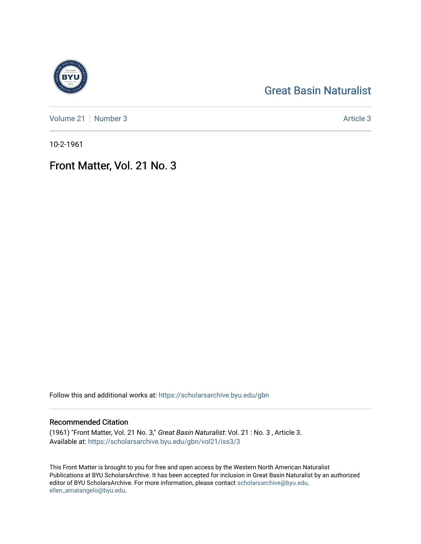## [Great Basin Naturalist](https://scholarsarchive.byu.edu/gbn)

[Volume 21](https://scholarsarchive.byu.edu/gbn/vol21) [Number 3](https://scholarsarchive.byu.edu/gbn/vol21/iss3) Article 3

10-2-1961

## Front Matter, Vol. 21 No. 3

Follow this and additional works at: [https://scholarsarchive.byu.edu/gbn](https://scholarsarchive.byu.edu/gbn?utm_source=scholarsarchive.byu.edu%2Fgbn%2Fvol21%2Fiss3%2F3&utm_medium=PDF&utm_campaign=PDFCoverPages) 

#### Recommended Citation

(1961) "Front Matter, Vol. 21 No. 3," Great Basin Naturalist: Vol. 21 : No. 3 , Article 3. Available at: [https://scholarsarchive.byu.edu/gbn/vol21/iss3/3](https://scholarsarchive.byu.edu/gbn/vol21/iss3/3?utm_source=scholarsarchive.byu.edu%2Fgbn%2Fvol21%2Fiss3%2F3&utm_medium=PDF&utm_campaign=PDFCoverPages)

This Front Matter is brought to you for free and open access by the Western North American Naturalist Publications at BYU ScholarsArchive. It has been accepted for inclusion in Great Basin Naturalist by an authorized editor of BYU ScholarsArchive. For more information, please contact [scholarsarchive@byu.edu,](mailto:scholarsarchive@byu.edu,%20ellen_amatangelo@byu.edu) [ellen\\_amatangelo@byu.edu](mailto:scholarsarchive@byu.edu,%20ellen_amatangelo@byu.edu).

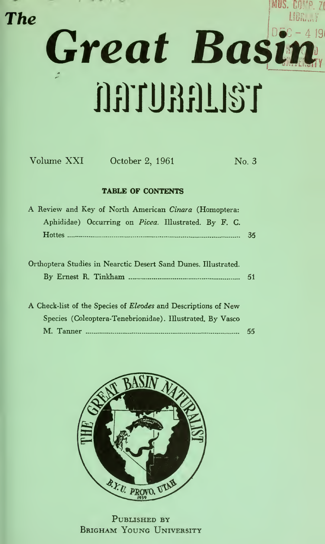# MUS. COMP. ZI The Great Basin TELLGGUTGG

| <b>TABLE OF CONTENTS</b>                                              |    |
|-----------------------------------------------------------------------|----|
| A Review and Key of North American Cinara (Homoptera:                 |    |
| Aphididae) Occurring on <i>Picea</i> . Illustrated. By F. C.          |    |
|                                                                       | 35 |
|                                                                       |    |
| Orthoptera Studies in Nearctic Desert Sand Dunes. Illustrated.        |    |
|                                                                       |    |
|                                                                       |    |
| A Check-list of the Species of <i>Eleodes</i> and Descriptions of New |    |
| Species (Coleoptera-Tenebrionidae). Illustrated, By Vasco             |    |
|                                                                       | 55 |

Volume XXI October 2, 1961 No. 3



PUBLISHED BY Brigham Young University